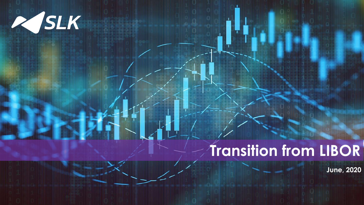

# **Transition from LIBOR**

**June, 2020**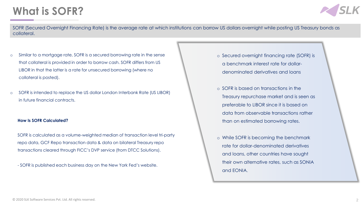## **What is SOFR?**



SOFR (Secured Overnight Financing Rate) is the average rate at which institutions can borrow US dollars overnight while posting US Treasury bonds as collateral.

- o Similar to a mortgage rate, SOFR is a secured borrowing rate in the sense that collateral is provided in order to borrow cash. SOFR differs from US LIBOR in that the latter is a rate for unsecured borrowing (where no collateral is posted).
- o SOFR is intended to replace the US dollar London Interbank Rate (US LIBOR) in future financial contracts.

#### **How Is SOFR Calculated?**

SOFR is calculated as a volume-weighted median of transaction level tri-party repo data, GCF Repo transaction data & data on bilateral Treasury repo transactions cleared through FICC's DVP service (from DTCC Solutions).

- SOFR is published each business day on the New York Fed's website.

- o Secured overnight financing rate (SOFR) is a benchmark interest rate for dollardenominated derivatives and loans
- o SOFR is based on transactions in the Treasury repurchase market and is seen as preferable to LIBOR since it is based on data from observable transactions rather than on estimated borrowing rates.
- o While SOFR is becoming the benchmark rate for dollar-denominated derivatives and loans, other countries have sought their own alternative rates, such as SONIA and EONIA.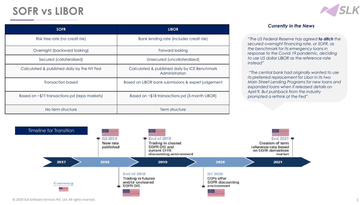### **SOFR vs LIBOR**



#### *Currently in the News*

*"The US Federal Reserve has agreed to ditch the secured overnight financing rate, or SOFR, as the benchmark for its emergency loans in response to the Covid-19 pandemic, deciding to use US dollar LIBOR as the reference rate instead"*

*"The central bank had originally wanted to use its preferred replacement for Libor in its two Main Street Lending Programs for new loans and expanded loans when it released details on April 9. But pushback from the industry prompted a rethink at the Fed"*



© 2020 SLK Software Services Pvt. Ltd. All rights reserved. 3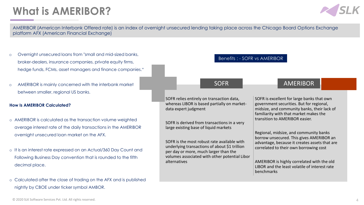# **What is AMERIBOR?**



AMERIBOR (American Interbank Offered rate) is an index of overnight unsecured lending taking place across the Chicago Board Options Exchange platform AFX (American Financial Exchange)